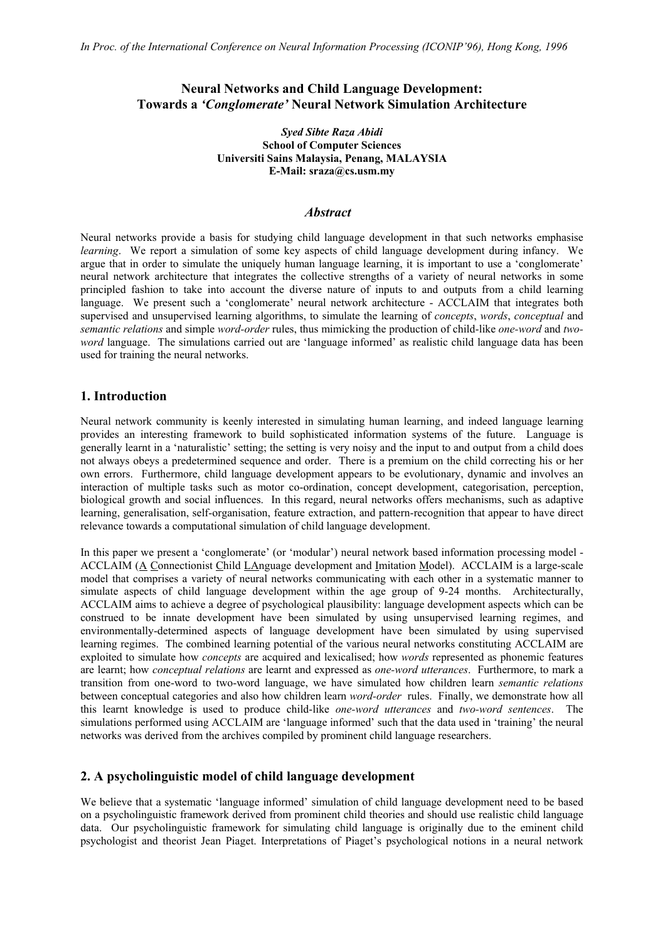# **Neural Networks and Child Language Development: Towards a** *'Conglomerate'* **Neural Network Simulation Architecture**

*Syed Sibte Raza Abidi* **School of Computer Sciences Universiti Sains Malaysia, Penang, MALAYSIA E-Mail: sraza@cs.usm.my**

### *Abstract*

Neural networks provide a basis for studying child language development in that such networks emphasise *learning*. We report a simulation of some key aspects of child language development during infancy. We argue that in order to simulate the uniquely human language learning, it is important to use a 'conglomerate' neural network architecture that integrates the collective strengths of a variety of neural networks in some principled fashion to take into account the diverse nature of inputs to and outputs from a child learning language. We present such a 'conglomerate' neural network architecture - ACCLAIM that integrates both supervised and unsupervised learning algorithms, to simulate the learning of *concepts*, *words*, *conceptual* and *semantic relations* and simple *word-order* rules, thus mimicking the production of child-like *one-word* and *twoword* language.The simulations carried out are 'language informed' as realistic child language data has been used for training the neural networks.

## **1. Introduction**

Neural network community is keenly interested in simulating human learning, and indeed language learning provides an interesting framework to build sophisticated information systems of the future. Language is generally learnt in a 'naturalistic' setting; the setting is very noisy and the input to and output from a child does not always obeys a predetermined sequence and order. There is a premium on the child correcting his or her own errors. Furthermore, child language development appears to be evolutionary, dynamic and involves an interaction of multiple tasks such as motor co-ordination, concept development, categorisation, perception, biological growth and social influences. In this regard, neural networks offers mechanisms, such as adaptive learning, generalisation, self-organisation, feature extraction, and pattern-recognition that appear to have direct relevance towards a computational simulation of child language development.

In this paper we present a 'conglomerate' (or 'modular') neural network based information processing model - ACCLAIM (A Connectionist Child LAnguage development and Imitation Model). ACCLAIM is a large-scale model that comprises a variety of neural networks communicating with each other in a systematic manner to simulate aspects of child language development within the age group of 9-24 months. Architecturally, ACCLAIM aims to achieve a degree of psychological plausibility: language development aspects which can be construed to be innate development have been simulated by using unsupervised learning regimes, and environmentally-determined aspects of language development have been simulated by using supervised learning regimes. The combined learning potential of the various neural networks constituting ACCLAIM are exploited to simulate how *concepts* are acquired and lexicalised; how *words* represented as phonemic features are learnt; how *conceptual relations* are learnt and expressed as *one-word utterances*. Furthermore, to mark a transition from one-word to two-word language, we have simulated how children learn *semantic relations* between conceptual categories and also how children learn *word-order* rules. Finally, we demonstrate how all this learnt knowledge is used to produce child-like *one-word utterances* and *two-word sentences*. The simulations performed using ACCLAIM are 'language informed' such that the data used in 'training' the neural networks was derived from the archives compiled by prominent child language researchers.

### **2. A psycholinguistic model of child language development**

We believe that a systematic 'language informed' simulation of child language development need to be based on a psycholinguistic framework derived from prominent child theories and should use realistic child language data. Our psycholinguistic framework for simulating child language is originally due to the eminent child psychologist and theorist Jean Piaget. Interpretations of Piaget's psychological notions in a neural network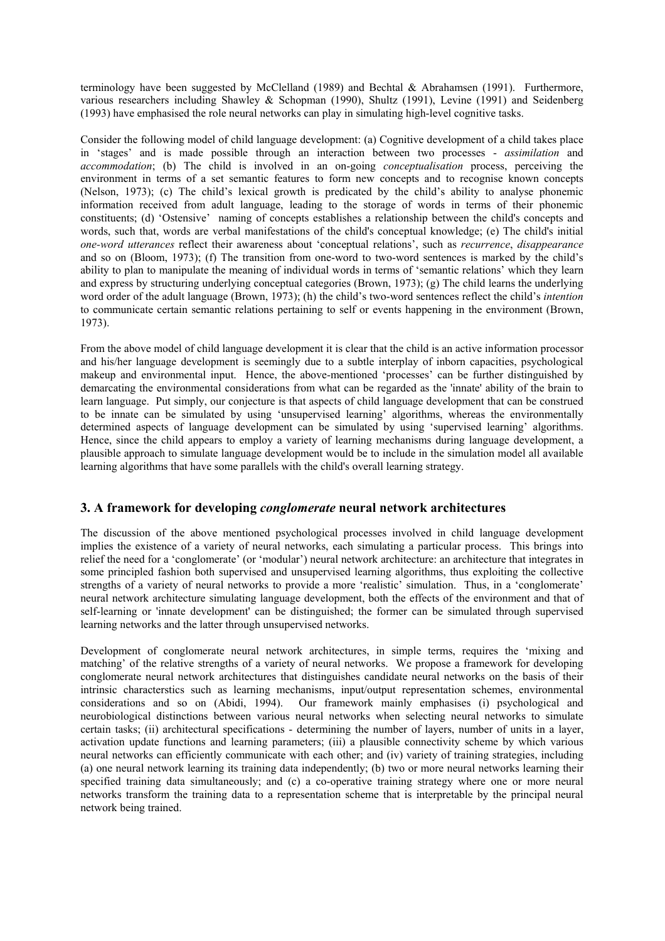terminology have been suggested by McClelland (1989) and Bechtal & Abrahamsen (1991). Furthermore, various researchers including Shawley & Schopman (1990), Shultz (1991), Levine (1991) and Seidenberg (1993) have emphasised the role neural networks can play in simulating high-level cognitive tasks.

Consider the following model of child language development: (a) Cognitive development of a child takes place in 'stages' and is made possible through an interaction between two processes - *assimilation* and *accommodation*; (b) The child is involved in an on-going *conceptualisation* process, perceiving the environment in terms of a set semantic features to form new concepts and to recognise known concepts (Nelson, 1973); (c) The child's lexical growth is predicated by the child's ability to analyse phonemic information received from adult language, leading to the storage of words in terms of their phonemic constituents; (d) 'Ostensive' naming of concepts establishes a relationship between the child's concepts and words, such that, words are verbal manifestations of the child's conceptual knowledge; (e) The child's initial *one-word utterances* reflect their awareness about 'conceptual relations', such as *recurrence*, *disappearance* and so on (Bloom, 1973); (f) The transition from one-word to two-word sentences is marked by the child's ability to plan to manipulate the meaning of individual words in terms of 'semantic relations' which they learn and express by structuring underlying conceptual categories (Brown, 1973); (g) The child learns the underlying word order of the adult language (Brown, 1973); (h) the child's two-word sentences reflect the child's *intention* to communicate certain semantic relations pertaining to self or events happening in the environment (Brown, 1973).

From the above model of child language development it is clear that the child is an active information processor and his/her language development is seemingly due to a subtle interplay of inborn capacities, psychological makeup and environmental input. Hence, the above-mentioned 'processes' can be further distinguished by demarcating the environmental considerations from what can be regarded as the 'innate' ability of the brain to learn language. Put simply, our conjecture is that aspects of child language development that can be construed to be innate can be simulated by using 'unsupervised learning' algorithms, whereas the environmentally determined aspects of language development can be simulated by using 'supervised learning' algorithms. Hence, since the child appears to employ a variety of learning mechanisms during language development, a plausible approach to simulate language development would be to include in the simulation model all available learning algorithms that have some parallels with the child's overall learning strategy.

# **3. A framework for developing** *conglomerate* **neural network architectures**

The discussion of the above mentioned psychological processes involved in child language development implies the existence of a variety of neural networks, each simulating a particular process. This brings into relief the need for a 'conglomerate' (or 'modular') neural network architecture: an architecture that integrates in some principled fashion both supervised and unsupervised learning algorithms, thus exploiting the collective strengths of a variety of neural networks to provide a more 'realistic' simulation. Thus, in a 'conglomerate' neural network architecture simulating language development, both the effects of the environment and that of self-learning or 'innate development' can be distinguished; the former can be simulated through supervised learning networks and the latter through unsupervised networks.

Development of conglomerate neural network architectures, in simple terms, requires the 'mixing and matching' of the relative strengths of a variety of neural networks. We propose a framework for developing conglomerate neural network architectures that distinguishes candidate neural networks on the basis of their intrinsic characterstics such as learning mechanisms, input/output representation schemes, environmental considerations and so on (Abidi, 1994). Our framework mainly emphasises (i) psychological and neurobiological distinctions between various neural networks when selecting neural networks to simulate certain tasks; (ii) architectural specifications - determining the number of layers, number of units in a layer, activation update functions and learning parameters; (iii) a plausible connectivity scheme by which various neural networks can efficiently communicate with each other; and (iv) variety of training strategies, including (a) one neural network learning its training data independently; (b) two or more neural networks learning their specified training data simultaneously; and (c) a co-operative training strategy where one or more neural networks transform the training data to a representation scheme that is interpretable by the principal neural network being trained.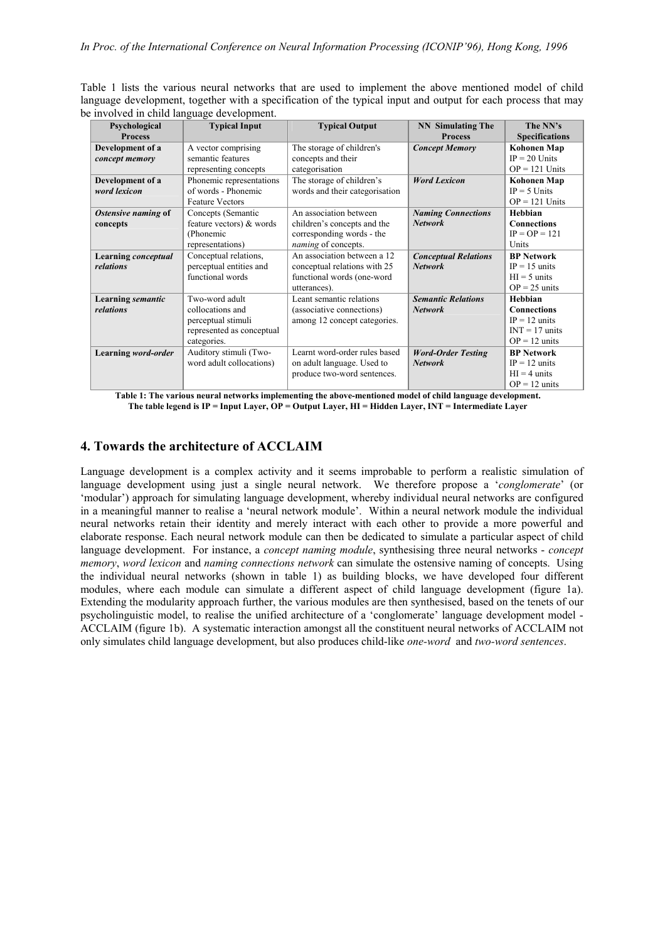Table 1 lists the various neural networks that are used to implement the above mentioned model of child language development, together with a specification of the typical input and output for each process that may be involved in child language development.

| Psychological              | <b>Typical Input</b>      | <b>Typical Output</b>          | <b>NN</b> Simulating The    | The NN's                |
|----------------------------|---------------------------|--------------------------------|-----------------------------|-------------------------|
| <b>Process</b>             |                           |                                | <b>Process</b>              | <b>Specifications</b>   |
| Development of a           | A vector comprising       | The storage of children's      | <b>Concept Memory</b>       | <b>Kohonen Map</b>      |
| concept memory             | semantic features         | concepts and their             |                             | $IP = 20$ Units         |
|                            | representing concepts     | categorisation                 |                             | $OP = 121$ Units        |
| Development of a           | Phonemic representations  | The storage of children's      | <b>Word Lexicon</b>         | <b>Kohonen Map</b>      |
| word lexicon               | of words - Phonemic       | words and their categorisation |                             | $IP = 5$ Units          |
|                            | <b>Feature Vectors</b>    |                                |                             | $OP = 121$ Units        |
| Ostensive naming of        | Concepts (Semantic        | An association between         | <b>Naming Connections</b>   | Hebbian                 |
| concepts                   | feature vectors) & words  | children's concepts and the    | <b>Network</b>              | <b>Connections</b>      |
|                            | (Phonemic                 | corresponding words - the      |                             | $IP = OP = 121$         |
|                            | representations)          | <i>naming</i> of concepts.     |                             | Units                   |
| <b>Learning</b> conceptual | Conceptual relations,     | An association between a 12    | <b>Conceptual Relations</b> | <b>BP</b> Network       |
| relations                  | perceptual entities and   | conceptual relations with 25   | <b>Network</b>              | $IP = 15$ units         |
|                            | functional words          | functional words (one-word     |                             | $HI = 5$ units          |
|                            |                           | utterances).                   |                             | $OP = 25$ units         |
| <b>Learning semantic</b>   | Two-word adult            | Leant semantic relations       | <b>Semantic Relations</b>   | Hebbian                 |
| relations                  | collocations and          | (associative connections)      | <b>Network</b>              | <b>Connections</b>      |
|                            | perceptual stimuli        | among 12 concept categories.   |                             | $IP = 12 \text{ units}$ |
|                            | represented as conceptual |                                |                             | $INT = 17$ units        |
|                            | categories.               |                                |                             | $OP = 12$ units         |
| Learning word-order        | Auditory stimuli (Two-    | Learnt word-order rules based  | <b>Word-Order Testing</b>   | <b>BP</b> Network       |
|                            | word adult collocations)  | on adult language. Used to     | <b>Network</b>              | $IP = 12$ units         |
|                            |                           | produce two-word sentences.    |                             | $HI = 4$ units          |
|                            |                           |                                |                             | $OP = 12$ units         |

**Table 1: The various neural networks implementing the above-mentioned model of child language development. The table legend is IP = Input Layer, OP = Output Layer, HI = Hidden Layer, INT = Intermediate Layer** 

# **4. Towards the architecture of ACCLAIM**

Language development is a complex activity and it seems improbable to perform a realistic simulation of language development using just a single neural network. We therefore propose a '*conglomerate*' (or 'modular') approach for simulating language development, whereby individual neural networks are configured in a meaningful manner to realise a 'neural network module'. Within a neural network module the individual neural networks retain their identity and merely interact with each other to provide a more powerful and elaborate response. Each neural network module can then be dedicated to simulate a particular aspect of child language development. For instance, a *concept naming module*, synthesising three neural networks - *concept memory*, *word lexicon* and *naming connections network* can simulate the ostensive naming of concepts. Using the individual neural networks (shown in table 1) as building blocks, we have developed four different modules, where each module can simulate a different aspect of child language development (figure 1a). Extending the modularity approach further, the various modules are then synthesised, based on the tenets of our psycholinguistic model, to realise the unified architecture of a 'conglomerate' language development model - ACCLAIM (figure 1b). A systematic interaction amongst all the constituent neural networks of ACCLAIM not only simulates child language development, but also produces child-like *one-word* and *two-word sentences*.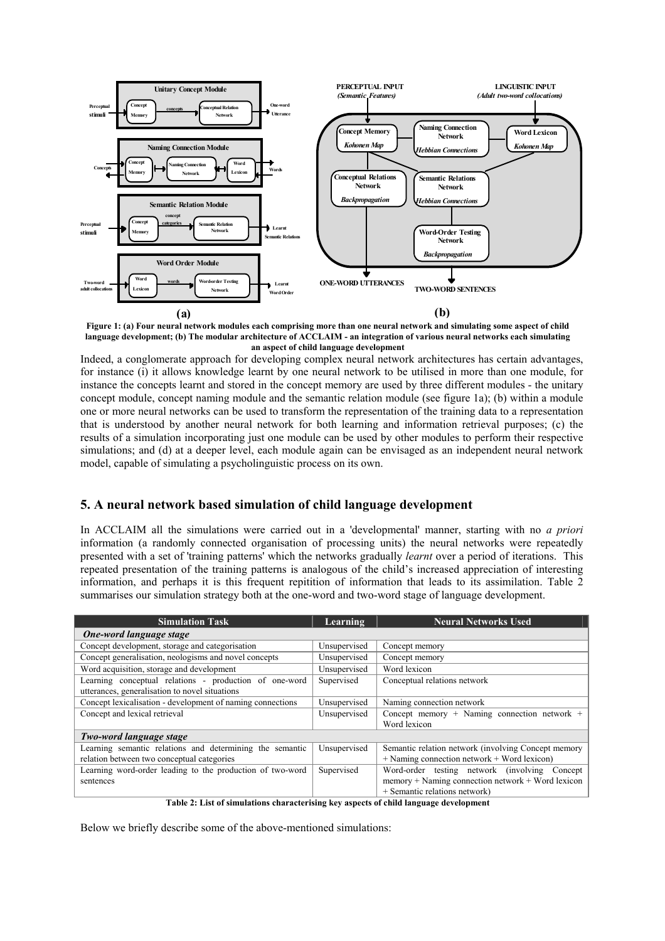

**Figure 1: (a) Four neural network modules each comprising more than one neural network and simulating some aspect of child language development; (b) The modular architecture of ACCLAIM - an integration of various neural networks each simulating an aspect of child language development**

Indeed, a conglomerate approach for developing complex neural network architectures has certain advantages, for instance (i) it allows knowledge learnt by one neural network to be utilised in more than one module, for instance the concepts learnt and stored in the concept memory are used by three different modules - the unitary concept module, concept naming module and the semantic relation module (see figure 1a); (b) within a module one or more neural networks can be used to transform the representation of the training data to a representation that is understood by another neural network for both learning and information retrieval purposes; (c) the results of a simulation incorporating just one module can be used by other modules to perform their respective simulations; and (d) at a deeper level, each module again can be envisaged as an independent neural network model, capable of simulating a psycholinguistic process on its own.

# **5. A neural network based simulation of child language development**

In ACCLAIM all the simulations were carried out in a 'developmental' manner, starting with no *a priori* information (a randomly connected organisation of processing units) the neural networks were repeatedly presented with a set of 'training patterns' which the networks gradually *learnt* over a period of iterations. This repeated presentation of the training patterns is analogous of the child's increased appreciation of interesting information, and perhaps it is this frequent repitition of information that leads to its assimilation. Table 2 summarises our simulation strategy both at the one-word and two-word stage of language development.

| <b>Simulation Task</b>                                     | Learning     | <b>Neural Networks Used</b>                         |  |  |  |
|------------------------------------------------------------|--------------|-----------------------------------------------------|--|--|--|
| One-word language stage                                    |              |                                                     |  |  |  |
| Concept development, storage and categorisation            | Unsupervised | Concept memory                                      |  |  |  |
| Concept generalisation, neologisms and novel concepts      | Unsupervised | Concept memory                                      |  |  |  |
| Word acquisition, storage and development                  | Unsupervised | Word lexicon                                        |  |  |  |
| Learning conceptual relations - production of one-word     | Supervised   | Conceptual relations network                        |  |  |  |
| utterances, generalisation to novel situations             |              |                                                     |  |  |  |
| Concept lexicalisation - development of naming connections | Unsupervised | Naming connection network                           |  |  |  |
| Concept and lexical retrieval                              | Unsupervised | Concept memory + Naming connection network +        |  |  |  |
|                                                            |              | Word lexicon                                        |  |  |  |
| Two-word language stage                                    |              |                                                     |  |  |  |
| Learning semantic relations and determining the semantic   | Unsupervised | Semantic relation network (involving Concept memory |  |  |  |
| relation between two conceptual categories                 |              | $+$ Naming connection network $+$ Word lexicon)     |  |  |  |
| Learning word-order leading to the production of two-word  | Supervised   | Word-order testing network (involving Concept       |  |  |  |
| sentences                                                  |              | $memory + Naming connection network + Word lexicon$ |  |  |  |
|                                                            |              | + Semantic relations network)                       |  |  |  |

**Table 2: List of simulations characterising key aspects of child language development**

Below we briefly describe some of the above-mentioned simulations: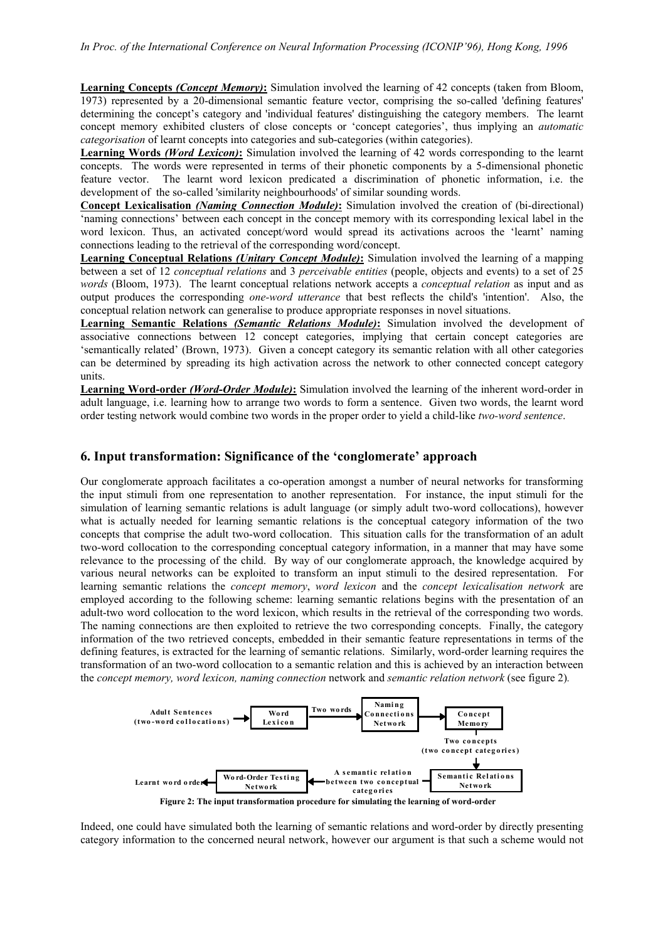**Learning Concepts** *(Concept Memory)***:** Simulation involved the learning of 42 concepts (taken from Bloom, 1973) represented by a 20-dimensional semantic feature vector, comprising the so-called 'defining features' determining the concept's category and 'individual features' distinguishing the category members. The learnt concept memory exhibited clusters of close concepts or 'concept categories', thus implying an *automatic categorisation* of learnt concepts into categories and sub-categories (within categories).

**Learning Words** *(Word Lexicon)***:** Simulation involved the learning of 42 words corresponding to the learnt concepts. The words were represented in terms of their phonetic components by a 5-dimensional phonetic feature vector. The learnt word lexicon predicated a discrimination of phonetic information, i.e. the development of the so-called 'similarity neighbourhoods' of similar sounding words.

**Concept Lexicalisation** *(Naming Connection Module)***:** Simulation involved the creation of (bi-directional) 'naming connections' between each concept in the concept memory with its corresponding lexical label in the word lexicon. Thus, an activated concept/word would spread its activations acroos the 'learnt' naming connections leading to the retrieval of the corresponding word/concept.

**Learning Conceptual Relations** *(Unitary Concept Module)***:** Simulation involved the learning of a mapping between a set of 12 *conceptual relations* and 3 *perceivable entities* (people, objects and events) to a set of 25 *words* (Bloom, 1973). The learnt conceptual relations network accepts a *conceptual relation* as input and as output produces the corresponding *one-word utterance* that best reflects the child's 'intention'. Also, the conceptual relation network can generalise to produce appropriate responses in novel situations.

**Learning Semantic Relations** *(Semantic Relations Module)***:** Simulation involved the development of associative connections between 12 concept categories, implying that certain concept categories are 'semantically related' (Brown, 1973). Given a concept category its semantic relation with all other categories can be determined by spreading its high activation across the network to other connected concept category units.

**Learning Word-order** *(Word-Order Module)***:** Simulation involved the learning of the inherent word-order in adult language, i.e. learning how to arrange two words to form a sentence. Given two words, the learnt word order testing network would combine two words in the proper order to yield a child-like *two-word sentence*.

#### **6. Input transformation: Significance of the 'conglomerate' approach**

Our conglomerate approach facilitates a co-operation amongst a number of neural networks for transforming the input stimuli from one representation to another representation. For instance, the input stimuli for the simulation of learning semantic relations is adult language (or simply adult two-word collocations), however what is actually needed for learning semantic relations is the conceptual category information of the two concepts that comprise the adult two-word collocation. This situation calls for the transformation of an adult two-word collocation to the corresponding conceptual category information, in a manner that may have some relevance to the processing of the child. By way of our conglomerate approach, the knowledge acquired by various neural networks can be exploited to transform an input stimuli to the desired representation. For learning semantic relations the *concept memory*, *word lexicon* and the *concept lexicalisation network* are employed according to the following scheme: learning semantic relations begins with the presentation of an adult-two word collocation to the word lexicon, which results in the retrieval of the corresponding two words. The naming connections are then exploited to retrieve the two corresponding concepts. Finally, the category information of the two retrieved concepts, embedded in their semantic feature representations in terms of the defining features, is extracted for the learning of semantic relations. Similarly, word-order learning requires the transformation of an two-word collocation to a semantic relation and this is achieved by an interaction between the *concept memory, word lexicon, naming connection* network and *semantic relation network* (see figure 2)*.* 



Indeed, one could have simulated both the learning of semantic relations and word-order by directly presenting category information to the concerned neural network, however our argument is that such a scheme would not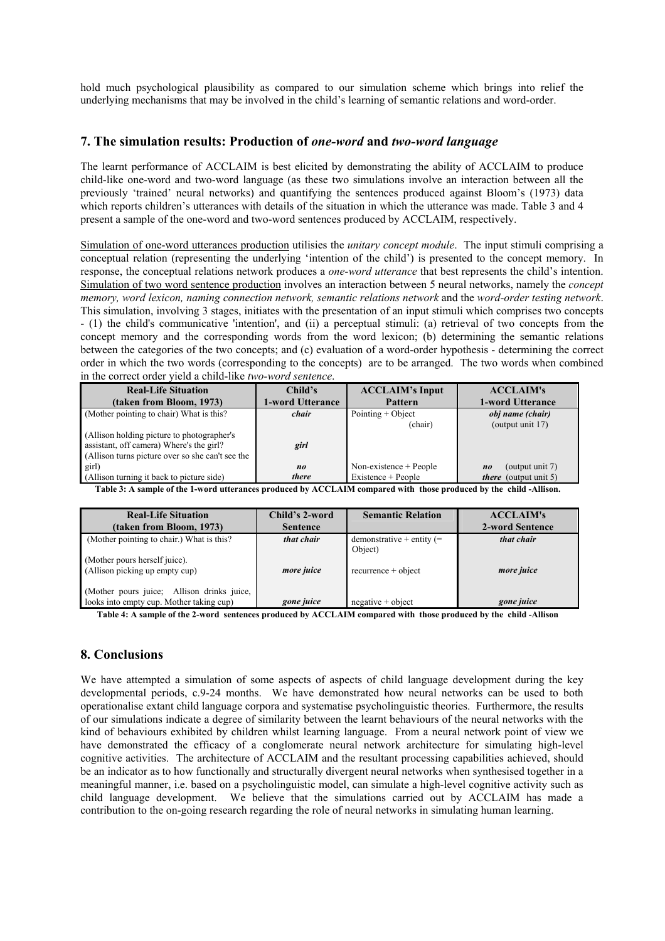hold much psychological plausibility as compared to our simulation scheme which brings into relief the underlying mechanisms that may be involved in the child's learning of semantic relations and word-order.

## **7. The simulation results: Production of** *one-word* **and** *two-word language*

The learnt performance of ACCLAIM is best elicited by demonstrating the ability of ACCLAIM to produce child-like one-word and two-word language (as these two simulations involve an interaction between all the previously 'trained' neural networks) and quantifying the sentences produced against Bloom's (1973) data which reports children's utterances with details of the situation in which the utterance was made. Table 3 and 4 present a sample of the one-word and two-word sentences produced by ACCLAIM, respectively.

Simulation of one-word utterances production utilisies the *unitary concept module*. The input stimuli comprising a conceptual relation (representing the underlying 'intention of the child') is presented to the concept memory. In response, the conceptual relations network produces a *one-word utterance* that best represents the child's intention. Simulation of two word sentence production involves an interaction between 5 neural networks, namely the *concept memory, word lexicon, naming connection network, semantic relations network* and the *word-order testing network*. This simulation, involving 3 stages, initiates with the presentation of an input stimuli which comprises two concepts - (1) the child's communicative 'intention', and (ii) a perceptual stimuli: (a) retrieval of two concepts from the concept memory and the corresponding words from the word lexicon; (b) determining the semantic relations between the categories of the two concepts; and (c) evaluation of a word-order hypothesis - determining the correct order in which the two words (corresponding to the concepts) are to be arranged. The two words when combined in the correct order yield a child-like *two-word sentence*.

| <b>Real-Life Situation</b>                       | Child's                 | <b>ACCLAIM's Input</b>   | <b>ACCLAIM's</b>                     |
|--------------------------------------------------|-------------------------|--------------------------|--------------------------------------|
| (taken from Bloom, 1973)                         | <b>1-word Utterance</b> | <b>Pattern</b>           | 1-word Utterance                     |
| (Mother pointing to chair) What is this?         | chair                   | Pointing $+$ Object      | obj name (chair)                     |
|                                                  |                         | (chair)                  | (output unit 17)                     |
| (Allison holding picture to photographer's       |                         |                          |                                      |
| assistant, off camera) Where's the girl?         | girl                    |                          |                                      |
| (Allison turns picture over so she can't see the |                         |                          |                                      |
| girl)                                            | no                      | Non-existence $+$ People | (output unit $7$ )<br>n <sub>0</sub> |
| (Allison turning it back to picture side)        | there                   | Existence + People       | <i>there</i> (output unit 5)         |

**Table 3: A sample of the 1-word utterances produced by ACCLAIM compared with those produced by the child -Allison.** 

| <b>Real-Life Situation</b>                 | Child's 2-word  | <b>Semantic Relation</b>    | <b>ACCLAIM's</b> |
|--------------------------------------------|-----------------|-----------------------------|------------------|
| (taken from Bloom, 1973)                   | <b>Sentence</b> |                             | 2-word Sentence  |
| (Mother pointing to chair.) What is this?  | that chair      | demonstrative + entity $(=$ | that chair       |
|                                            |                 | Object)                     |                  |
| (Mother pours herself juice).              |                 |                             |                  |
| (Allison picking up empty cup)             | more juice      | $recurrence + object$       | more juice       |
|                                            |                 |                             |                  |
| (Mother pours juice; Allison drinks juice, |                 |                             |                  |
| looks into empty cup. Mother taking cup)   | gone juice      | $negative + object$         | gone juice       |

**Table 4: A sample of the 2-word sentences produced by ACCLAIM compared with those produced by the child -Allison** 

# **8. Conclusions**

We have attempted a simulation of some aspects of aspects of child language development during the key developmental periods, c.9-24 months. We have demonstrated how neural networks can be used to both operationalise extant child language corpora and systematise psycholinguistic theories. Furthermore, the results of our simulations indicate a degree of similarity between the learnt behaviours of the neural networks with the kind of behaviours exhibited by children whilst learning language. From a neural network point of view we have demonstrated the efficacy of a conglomerate neural network architecture for simulating high-level cognitive activities. The architecture of ACCLAIM and the resultant processing capabilities achieved, should be an indicator as to how functionally and structurally divergent neural networks when synthesised together in a meaningful manner, i.e. based on a psycholinguistic model, can simulate a high-level cognitive activity such as child language development. We believe that the simulations carried out by ACCLAIM has made a contribution to the on-going research regarding the role of neural networks in simulating human learning.